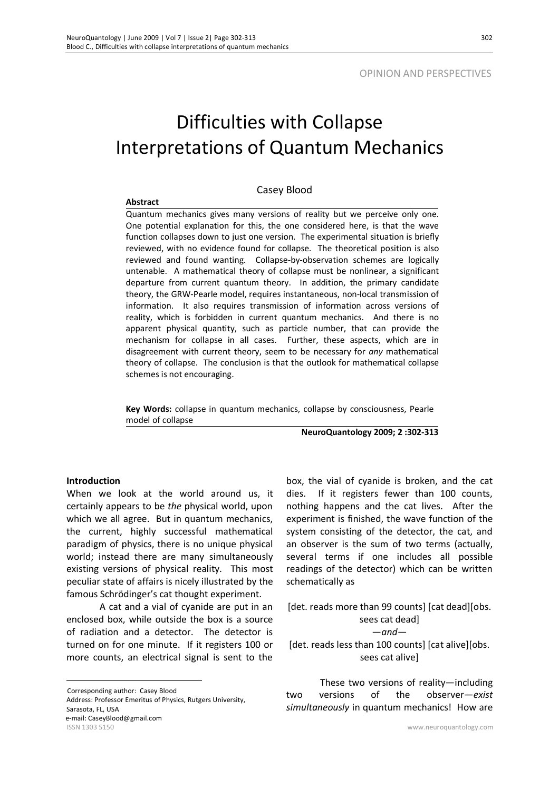# Difficulties with Collapse Interpretations of Quantum Mechanics

#### Casey Blood

#### **Abstract**

Quantum mechanics gives many versions of reality but we perceive only one. One potential explanation for this, the one considered here, is that the wave function collapses down to just one version. The experimental situation is briefly reviewed, with no evidence found for collapse. The theoretical position is also reviewed and found wanting. Collapse-by-observation schemes are logically untenable. A mathematical theory of collapse must be nonlinear, a significant departure from current quantum theory. In addition, the primary candidate theory, the GRW-Pearle model, requires instantaneous, non-local transmission of information. It also requires transmission of information across versions of reality, which is forbidden in current quantum mechanics. And there is no apparent physical quantity, such as particle number, that can provide the mechanism for collapse in all cases. Further, these aspects, which are in disagreement with current theory, seem to be necessary for *any* mathematical theory of collapse. The conclusion is that the outlook for mathematical collapse schemes is not encouraging.

**Key Words:** collapse in quantum mechanics, collapse by consciousness, Pearle model of collapse

**NeuroQuantology 2009; 2 :302-313**

#### **Introduction**

 $\overline{a}$ 

When we look at the world around us, it certainly appears to be *the* physical world, upon which we all agree. But in quantum mechanics, the current, highly successful mathematical paradigm of physics, there is no unique physical world; instead there are many simultaneously existing versions of physical reality. This most peculiar state of affairs is nicely illustrated by the famous Schrödinger's cat thought experiment.

A cat and a vial of cyanide are put in an enclosed box, while outside the box is a source of radiation and a detector. The detector is turned on for one minute. If it registers 100 or more counts, an electrical signal is sent to the

ISSN 1303 5150 www.neuroquantology.com Corresponding author: Casey Blood Address: Professor Emeritus of Physics, Rutgers University, Sarasota, FL, USA e-mail: CaseyBlood@gmail.com

box, the vial of cyanide is broken, and the cat dies. If it registers fewer than 100 counts, nothing happens and the cat lives. After the experiment is finished, the wave function of the system consisting of the detector, the cat, and an observer is the sum of two terms (actually, several terms if one includes all possible readings of the detector) which can be written schematically as

[det. reads more than 99 counts] [cat dead][obs. sees cat dead] —*and*— [det. reads less than 100 counts] [cat alive][obs. sees cat alive]

These two versions of reality—including two versions of the observer—*exist simultaneously* in quantum mechanics! How are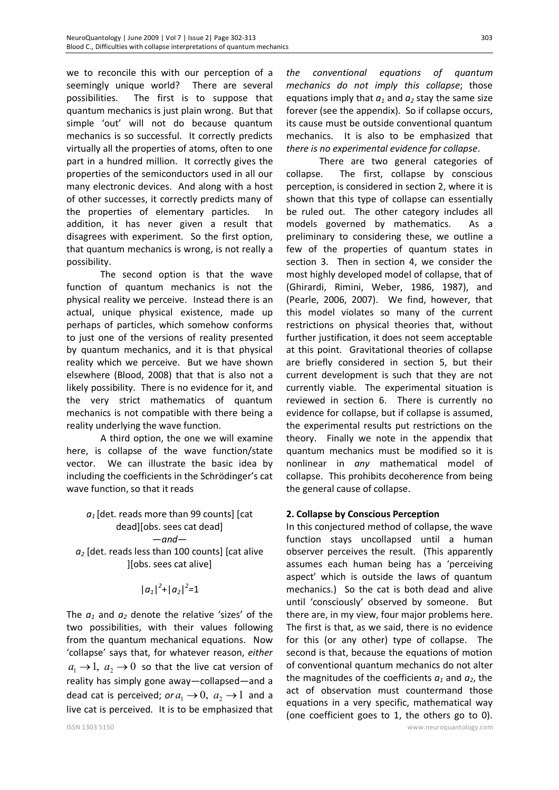we to reconcile this with our perception of a seemingly unique world? There are several possibilities. The first is to suppose that quantum mechanics is just plain wrong. But that simple 'out' will not do because quantum mechanics is so successful. It correctly predicts virtually all the properties of atoms, often to one part in a hundred million. It correctly gives the properties of the semiconductors used in all our many electronic devices. And along with a host of other successes, it correctly predicts many of the properties of elementary particles. In addition, it has never given a result that disagrees with experiment. So the first option, that quantum mechanics is wrong, is not really a possibility.

The second option is that the wave function of quantum mechanics is not the physical reality we perceive. Instead there is an actual, unique physical existence, made up perhaps of particles, which somehow conforms to just one of the versions of reality presented by quantum mechanics, and it is that physical reality which we perceive. But we have shown elsewhere (Blood, 2008) that that is also not a likely possibility. There is no evidence for it, and the very strict mathematics of quantum mechanics is not compatible with there being a reality underlying the wave function.

A third option, the one we will examine here, is collapse of the wave function/state vector. We can illustrate the basic idea by including the coefficients in the Schrödinger's cat wave function, so that it reads

# *a1* [det. reads more than 99 counts] [cat dead][obs. sees cat dead] —*and a<sup>2</sup>* [det. reads less than 100 counts] [cat alive ][obs. sees cat alive]

# $|a_1|^2$ + $|a_2|^2$ =1

The  $a_1$  and  $a_2$  denote the relative 'sizes' of the two possibilities, with their values following from the quantum mechanical equations. Now 'collapse' says that, for whatever reason, *either*  $a_1 \rightarrow 1$ ,  $a_2 \rightarrow 0$  so that the live cat version of reality has simply gone away—collapsed—and a dead cat is perceived; *or*  $a_1 \rightarrow 0$ ,  $a_2 \rightarrow 1$  and a live cat is perceived. It is to be emphasized that

*the conventional equations of quantum mechanics do not imply this collapse*; those equations imply that  $a_1$  and  $a_2$  stay the same size forever (see the appendix). So if collapse occurs, its cause must be outside conventional quantum mechanics. It is also to be emphasized that *there is no experimental evidence for collapse*.

There are two general categories of collapse. The first, collapse by conscious perception, is considered in section 2, where it is shown that this type of collapse can essentially be ruled out. The other category includes all models governed by mathematics. As a preliminary to considering these, we outline a few of the properties of quantum states in section 3. Then in section 4, we consider the most highly developed model of collapse, that of (Ghirardi, Rimini, Weber, 1986, 1987), and (Pearle, 2006, 2007). We find, however, that this model violates so many of the current restrictions on physical theories that, without further justification, it does not seem acceptable at this point. Gravitational theories of collapse are briefly considered in section 5, but their current development is such that they are not currently viable. The experimental situation is reviewed in section 6. There is currently no evidence for collapse, but if collapse is assumed, the experimental results put restrictions on the theory. Finally we note in the appendix that quantum mechanics must be modified so it is nonlinear in *any* mathematical model of collapse. This prohibits decoherence from being the general cause of collapse.

# **2. Collapse by Conscious Perception**

In this conjectured method of collapse, the wave function stays uncollapsed until a human observer perceives the result. (This apparently assumes each human being has a 'perceiving aspect' which is outside the laws of quantum mechanics.) So the cat is both dead and alive until 'consciously' observed by someone. But there are, in my view, four major problems here. The first is that, as we said, there is no evidence for this (or any other) type of collapse. The second is that, because the equations of motion of conventional quantum mechanics do not alter the magnitudes of the coefficients  $a_1$  and  $a_2$ , the act of observation must countermand those equations in a very specific, mathematical way (one coefficient goes to 1, the others go to 0).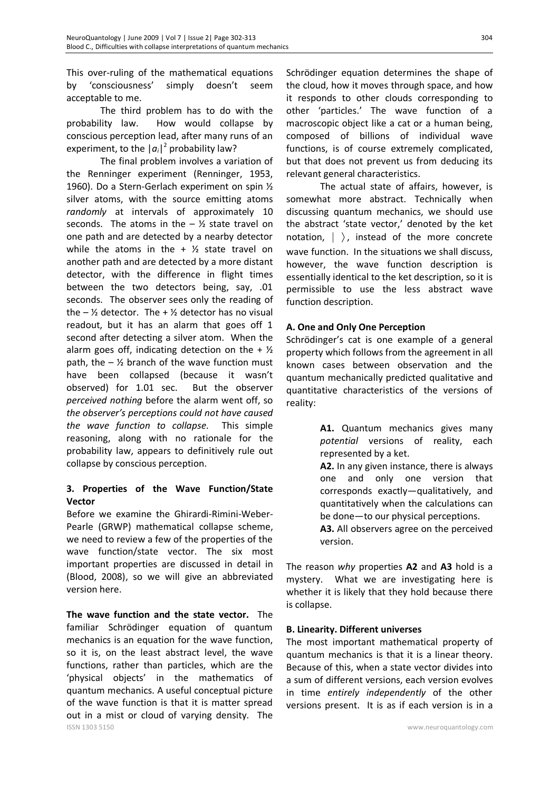This over-ruling of the mathematical equations by 'consciousness' simply doesn't seem acceptable to me.

The third problem has to do with the probability law. How would collapse by conscious perception lead, after many runs of an experiment, to the  $|a_i|^2$  probability law?

The final problem involves a variation of the Renninger experiment (Renninger, 1953, 1960). Do a Stern-Gerlach experiment on spin ½ silver atoms, with the source emitting atoms *randomly* at intervals of approximately 10 seconds. The atoms in the  $-$  % state travel on one path and are detected by a nearby detector while the atoms in the  $+$   $\frac{1}{2}$  state travel on another path and are detected by a more distant detector, with the difference in flight times between the two detectors being, say, .01 seconds. The observer sees only the reading of the  $-$  <sup>1/2</sup> detector. The  $+$  <sup>1/2</sup> detector has no visual readout, but it has an alarm that goes off 1 second after detecting a silver atom. When the alarm goes off, indicating detection on the  $+$  % path, the  $\frac{1}{2}$  branch of the wave function must have been collapsed (because it wasn't observed) for 1.01 sec. But the observer *perceived nothing* before the alarm went off, so *the observer's perceptions could not have caused the wave function to collapse*. This simple reasoning, along with no rationale for the probability law, appears to definitively rule out collapse by conscious perception.

# **3. Properties of the Wave Function/State Vector**

Before we examine the Ghirardi-Rimini-Weber-Pearle (GRWP) mathematical collapse scheme, we need to review a few of the properties of the wave function/state vector. The six most important properties are discussed in detail in (Blood, 2008), so we will give an abbreviated version here.

ISSN 1303 5150 www.neuroquantology.com **The wave function and the state vector.** The familiar Schrödinger equation of quantum mechanics is an equation for the wave function, so it is, on the least abstract level, the wave functions, rather than particles, which are the 'physical objects' in the mathematics of quantum mechanics. A useful conceptual picture of the wave function is that it is matter spread out in a mist or cloud of varying density. The

Schrödinger equation determines the shape of the cloud, how it moves through space, and how it responds to other clouds corresponding to other 'particles.' The wave function of a macroscopic object like a cat or a human being, composed of billions of individual wave functions, is of course extremely complicated, but that does not prevent us from deducing its relevant general characteristics.

The actual state of affairs, however, is somewhat more abstract. Technically when discussing quantum mechanics, we should use the abstract 'state vector,' denoted by the ket notation,  $|\rangle$ , instead of the more concrete wave function. In the situations we shall discuss, however, the wave function description is essentially identical to the ket description, so it is permissible to use the less abstract wave function description.

# **A. One and Only One Perception**

Schrödinger's cat is one example of a general property which follows from the agreement in all known cases between observation and the quantum mechanically predicted qualitative and quantitative characteristics of the versions of reality:

> **A1.** Quantum mechanics gives many *potential* versions of reality, each represented by a ket.

**A2.** In any given instance, there is always one and only one version that corresponds exactly—qualitatively, and quantitatively when the calculations can be done—to our physical perceptions.

**A3.** All observers agree on the perceived version.

The reason *why* properties **A2** and **A3** hold is a mystery. What we are investigating here is whether it is likely that they hold because there is collapse.

### **B. Linearity. Different universes**

The most important mathematical property of quantum mechanics is that it is a linear theory. Because of this, when a state vector divides into a sum of different versions, each version evolves in time *entirely independently* of the other versions present. It is as if each version is in a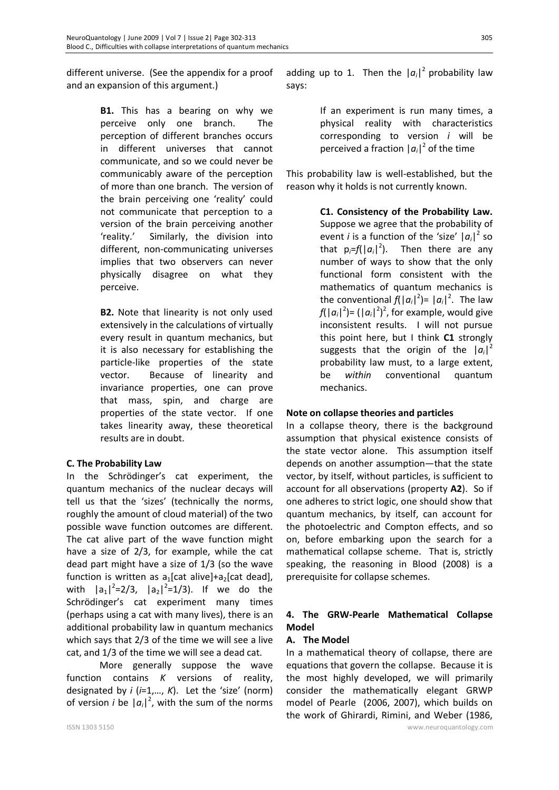different universe. (See the appendix for a proof and an expansion of this argument.)

> **B1.** This has a bearing on why we perceive only one branch. The perception of different branches occurs in different universes that cannot communicate, and so we could never be communicably aware of the perception of more than one branch. The version of the brain perceiving one 'reality' could not communicate that perception to a version of the brain perceiving another 'reality.' Similarly, the division into different, non-communicating universes implies that two observers can never physically disagree on what they perceive.

> **B2.** Note that linearity is not only used extensively in the calculations of virtually every result in quantum mechanics, but it is also necessary for establishing the particle-like properties of the state vector. Because of linearity and invariance properties, one can prove that mass, spin, and charge are properties of the state vector. If one takes linearity away, these theoretical results are in doubt.

### **C. The Probability Law**

In the Schrödinger's cat experiment, the quantum mechanics of the nuclear decays will tell us that the 'sizes' (technically the norms, roughly the amount of cloud material) of the two possible wave function outcomes are different. The cat alive part of the wave function might have a size of 2/3, for example, while the cat dead part might have a size of 1/3 (so the wave function is written as  $a_1$ [cat alive]+ $a_2$ [cat dead], with  $|a_1|^2=2/3$ ,  $|a_2|^2=1/3$ ). If we do the Schrödinger's cat experiment many times (perhaps using a cat with many lives), there is an additional probability law in quantum mechanics which says that 2/3 of the time we will see a live cat, and 1/3 of the time we will see a dead cat.

More generally suppose the wave function contains *K* versions of reality, designated by *i* (*i*=1,…, *K*). Let the 'size' (norm) of version *i* be  $|a_i|^2$ , with the sum of the norms

adding up to 1. Then the  $|a_i|^2$  probability law says:

> If an experiment is run many times, a physical reality with characteristics corresponding to version *i* will be perceived a fraction  $|a_i|^2$  of the time

This probability law is well-established, but the reason why it holds is not currently known.

> **C1. Consistency of the Probability Law.** Suppose we agree that the probability of event *i* is a function of the 'size'  $|a_i|^2$  so that  $p_i = f(|a_i|^2)$ . Then there are any number of ways to show that the only functional form consistent with the mathematics of quantum mechanics is the conventional  $f(|a_i|^2) = |a_i|^2$ . The law  $f(|a_i|^2) = (|a_i|^2)^2$ , for example, would give inconsistent results. I will not pursue this point here, but I think **C1** strongly suggests that the origin of the  $|a_i|^2$ probability law must, to a large extent, be *within* conventional quantum mechanics.

### **Note on collapse theories and particles**

In a collapse theory, there is the background assumption that physical existence consists of the state vector alone. This assumption itself depends on another assumption—that the state vector, by itself, without particles, is sufficient to account for all observations (property **A2**). So if one adheres to strict logic, one should show that quantum mechanics, by itself, can account for the photoelectric and Compton effects, and so on, before embarking upon the search for a mathematical collapse scheme. That is, strictly speaking, the reasoning in Blood (2008) is a prerequisite for collapse schemes.

# **4. The GRW-Pearle Mathematical Collapse Model**

### **A. The Model**

In a mathematical theory of collapse, there are equations that govern the collapse. Because it is the most highly developed, we will primarily consider the mathematically elegant GRWP model of Pearle (2006, 2007), which builds on the work of Ghirardi, Rimini, and Weber (1986,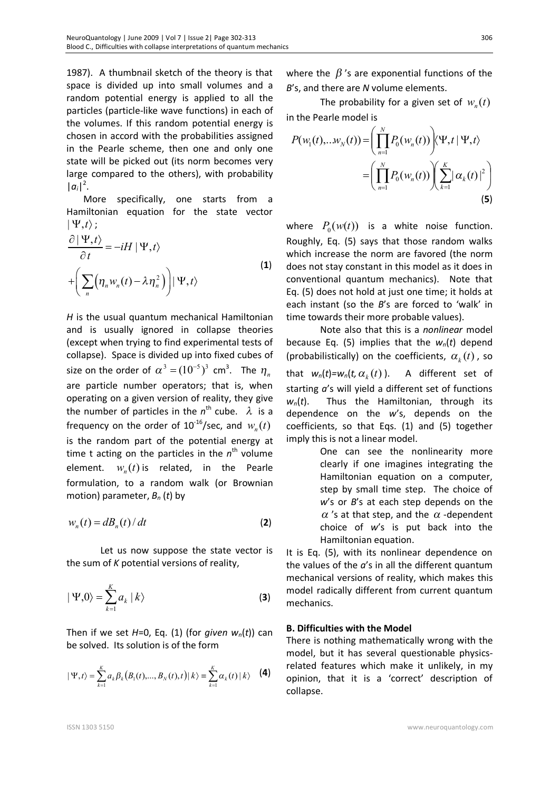1987). A thumbnail sketch of the theory is that space is divided up into small volumes and a random potential energy is applied to all the particles (particle-like wave functions) in each of the volumes. If this random potential energy is chosen in accord with the probabilities assigned in the Pearle scheme, then one and only one state will be picked out (its norm becomes very large compared to the others), with probability  $|a_i|^2$ .

More specifically, one starts from a Hamiltonian equation for the state vector  $|\Psi,t\rangle$ ;

$$
\frac{\partial |\Psi_{,t}\rangle}{\partial t} = -iH |\Psi_{,t}\rangle
$$
  
+ 
$$
\left(\sum_{n} \left(\eta_{n} w_{n}(t) - \lambda \eta_{n}^{2}\right)\right) |\Psi_{,t}\rangle
$$
 (1)

*H* is the usual quantum mechanical Hamiltonian and is usually ignored in collapse theories (except when trying to find experimental tests of collapse). Space is divided up into fixed cubes of size on the order of  $\alpha^3 = (10^{-5})^3$  cm<sup>3</sup>. The  $\eta_{_n}$ are particle number operators; that is, when operating on a given version of reality, they give the number of particles in the  $n^{\text{th}}$  cube.  $\lambda$  is a frequency on the order of  $10^{16}/\text{sec}$ , and  $w_n(t)$ is the random part of the potential energy at time t acting on the particles in the  $n^{\text{th}}$  volume element.  $w_n(t)$  is related, in the Pearle formulation, to a random walk (or Brownian motion) parameter, *Bn* (*t*) by

$$
w_n(t) = dB_n(t) / dt
$$
 (2)

Let us now suppose the state vector is the sum of *K* potential versions of reality,

$$
|\Psi,0\rangle = \sum_{k=1}^{K} a_k |k\rangle
$$
 (3)

Then if we set  $H=0$ , Eq. (1) (for *given*  $w_n(t)$ ) can be solved. Its solution is of the form

$$
|\Psi, t\rangle = \sum_{k=1}^{K} a_k \beta_k (B_1(t), ..., B_N(t), t) | k \rangle \equiv \sum_{k=1}^{K} \alpha_k(t) | k \rangle
$$
 (4)

where the  $\beta$ 's are exponential functions of the *B*'s, and there are *N* volume elements.

The probability for a given set of  $w_n(t)$ in the Pearle model is

$$
P(w_1(t),...w_N(t)) = \left(\prod_{n=1}^N P_0(w_n(t))\right) \langle \Psi, t | \Psi, t \rangle
$$

$$
= \left(\prod_{n=1}^N P_0(w_n(t))\right) \left(\sum_{k=1}^K |\alpha_k(t)|^2\right)
$$
(5)

where  $P_0(w(t))$  is a white noise function. Roughly, Eq. (5) says that those random walks which increase the norm are favored (the norm does not stay constant in this model as it does in conventional quantum mechanics). Note that Eq. (5) does not hold at just one time; it holds at each instant (so the *B*'s are forced to 'walk' in time towards their more probable values).

Note also that this is a *nonlinear* model because Eq. (5) implies that the *wn*(*t*) depend (probabilistically) on the coefficients,  $\alpha_k(t)$ , so that  $w_n(t) = w_n(t, \alpha_k(t))$ . ). A different set of starting *a*'s will yield a different set of functions *wn*(*t*). Thus the Hamiltonian, through its dependence on the *w*'s, depends on the coefficients, so that Eqs. (1) and (5) together imply this is not a linear model.

> One can see the nonlinearity more clearly if one imagines integrating the Hamiltonian equation on a computer, step by small time step. The choice of *w*'s or *B*'s at each step depends on the  $\alpha$ 's at that step, and the  $\alpha$ -dependent choice of *w*'s is put back into the Hamiltonian equation.

It is Eq. (5), with its nonlinear dependence on the values of the *a*'s in all the different quantum mechanical versions of reality, which makes this model radically different from current quantum mechanics.

### **B. Difficulties with the Model**

There is nothing mathematically wrong with the model, but it has several questionable physicsrelated features which make it unlikely, in my opinion, that it is a 'correct' description of collapse.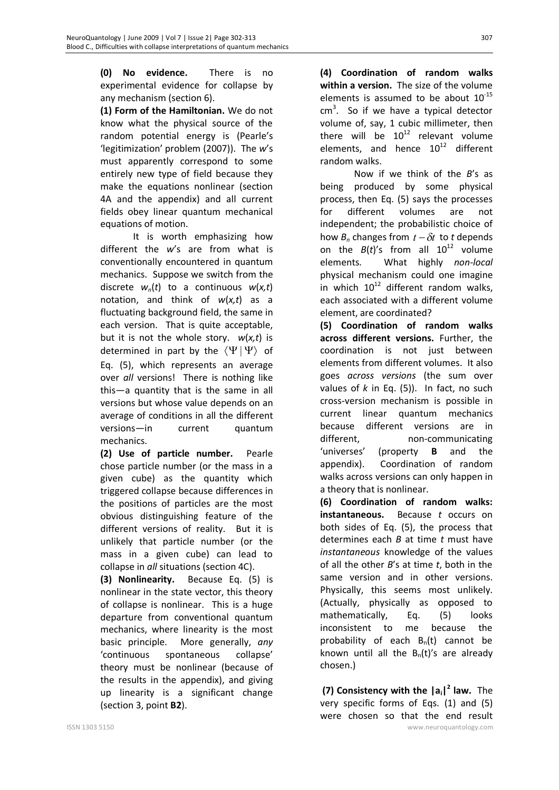**(0) No evidence.** There is no experimental evidence for collapse by any mechanism (section 6).

**(1) Form of the Hamiltonian.** We do not know what the physical source of the random potential energy is (Pearle's 'legitimization' problem (2007)). The *w*'s must apparently correspond to some entirely new type of field because they make the equations nonlinear (section 4A and the appendix) and all current fields obey linear quantum mechanical equations of motion.

It is worth emphasizing how different the *w*'s are from what is conventionally encountered in quantum mechanics. Suppose we switch from the discrete  $w_n(t)$  to a continuous  $w(x,t)$ notation, and think of *w*(*x,t*) as a fluctuating background field, the same in each version. That is quite acceptable, but it is not the whole story. *w*(*x,t*) is determined in part by the  $\langle \Psi | \Psi \rangle$  of Eq. (5), which represents an average over *all* versions! There is nothing like this—a quantity that is the same in all versions but whose value depends on an average of conditions in all the different versions—in current quantum mechanics.

**(2) Use of particle number.** Pearle chose particle number (or the mass in a given cube) as the quantity which triggered collapse because differences in the positions of particles are the most obvious distinguishing feature of the different versions of reality. But it is unlikely that particle number (or the mass in a given cube) can lead to collapse in *all* situations (section 4C).

**(3) Nonlinearity.** Because Eq. (5) is nonlinear in the state vector, this theory of collapse is nonlinear. This is a huge departure from conventional quantum mechanics, where linearity is the most basic principle. More generally, *any* 'continuous spontaneous collapse' theory must be nonlinear (because of the results in the appendix), and giving up linearity is a significant change (section 3, point **B2**).

**(4) Coordination of random walks within a version.** The size of the volume elements is assumed to be about  $10^{-15}$  $cm<sup>3</sup>$ . So if we have a typical detector volume of, say, 1 cubic millimeter, then there will be  $10^{12}$  relevant volume elements, and hence  $10^{12}$  different random walks.

Now if we think of the *B*'s as being produced by some physical process, then Eq. (5) says the processes for different volumes are not independent; the probabilistic choice of how  $B_n$  changes from  $t - \delta t$  to *t* depends on the  $B(t)$ 's from all  $10^{12}$  volume elements. What highly *non-local* physical mechanism could one imagine in which  $10^{12}$  different random walks, each associated with a different volume element, are coordinated?

**(5) Coordination of random walks across different versions.** Further, the coordination is not just between elements from different volumes. It also goes *across versions* (the sum over values of *k* in Eq. (5)). In fact, no such cross-version mechanism is possible in current linear quantum mechanics because different versions are in different, non-communicating 'universes' (property **B** and the appendix). Coordination of random walks across versions can only happen in a theory that is nonlinear.

**(6) Coordination of random walks: instantaneous.** Because *t* occurs on both sides of Eq. (5), the process that determines each *B* at time *t* must have *instantaneous* knowledge of the values of all the other *B*'s at time *t*, both in the same version and in other versions. Physically, this seems most unlikely. (Actually, physically as opposed to mathematically, Eq. (5) looks inconsistent to me because the probability of each  $B_n(t)$  cannot be known until all the  $B_n(t)'$ s are already chosen.)

ISSN 1303 5150 www.neuroquantology.com  **(7) Consistency with the |ai| 2 law.** The very specific forms of Eqs. (1) and (5) were chosen so that the end result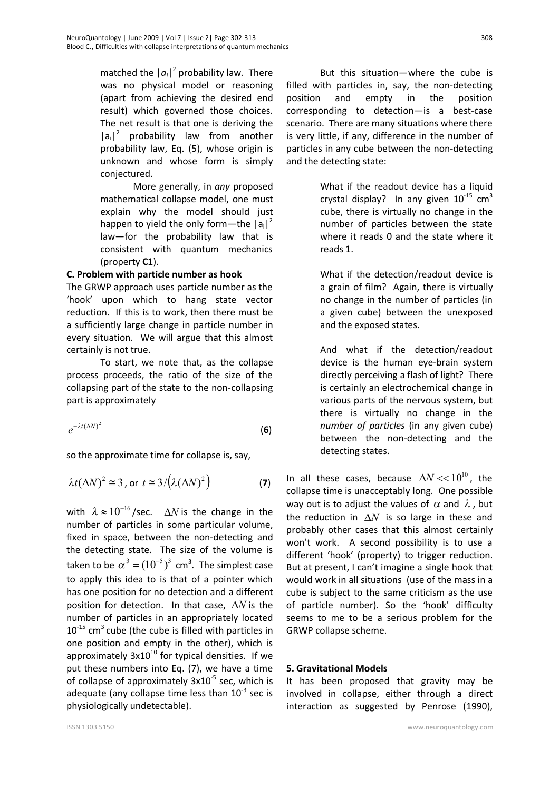matched the  $|a_i|^2$  probability law. There was no physical model or reasoning (apart from achieving the desired end result) which governed those choices. The net result is that one is deriving the  $|a_i|^2$  probability law from another probability law, Eq. (5), whose origin is unknown and whose form is simply conjectured.

More generally, in *any* proposed mathematical collapse model, one must explain why the model should just happen to yield the only form—the  $|a_i|^2$ law—for the probability law that is consistent with quantum mechanics (property **C1**).

#### **C. Problem with particle number as hook**

The GRWP approach uses particle number as the 'hook' upon which to hang state vector reduction. If this is to work, then there must be a sufficiently large change in particle number in every situation. We will argue that this almost certainly is not true.

To start, we note that, as the collapse process proceeds, the ratio of the size of the collapsing part of the state to the non-collapsing part is approximately

$$
e^{-\lambda t (\Delta N)^2} \tag{6}
$$

so the approximate time for collapse is, say,

$$
\lambda t (\Delta N)^2 \approx 3
$$
, or  $t \approx 3/(\lambda (\Delta N)^2)$  (7)

with  $\lambda \approx 10^{-16}$ /sec.  $\Delta N$  is the change in the number of particles in some particular volume, fixed in space, between the non-detecting and the detecting state. The size of the volume is taken to be  $\alpha^3 = (10^{-5})^3$  cm<sup>3</sup>. The simplest case to apply this idea to is that of a pointer which has one position for no detection and a different position for detection. In that case,  $\Delta N$  is the number of particles in an appropriately located  $10^{-15}$  cm<sup>3</sup> cube (the cube is filled with particles in one position and empty in the other), which is approximately  $3x10^{10}$  for typical densities. If we put these numbers into Eq. (7), we have a time of collapse of approximately  $3x10^{-5}$  sec, which is adequate (any collapse time less than  $10^{-3}$  sec is physiologically undetectable).

But this situation—where the cube is filled with particles in, say, the non-detecting position and empty in the position corresponding to detection—is a best-case scenario. There are many situations where there is very little, if any, difference in the number of particles in any cube between the non-detecting and the detecting state:

> What if the readout device has a liquid crystal display? In any given  $10^{-15}$  cm<sup>3</sup> cube, there is virtually no change in the number of particles between the state where it reads 0 and the state where it reads 1.

> What if the detection/readout device is a grain of film? Again, there is virtually no change in the number of particles (in a given cube) between the unexposed and the exposed states.

> And what if the detection/readout device is the human eye-brain system directly perceiving a flash of light? There is certainly an electrochemical change in various parts of the nervous system, but there is virtually no change in the *number of particles* (in any given cube) between the non-detecting and the detecting states.

In all these cases, because  $\Delta N$  <<10<sup>10</sup>, the collapse time is unacceptably long. One possible way out is to adjust the values of  $\alpha$  and  $\lambda$ , but the reduction in  $\Delta N$  is so large in these and probably other cases that this almost certainly won't work. A second possibility is to use a different 'hook' (property) to trigger reduction. But at present, I can't imagine a single hook that would work in all situations (use of the mass in a cube is subject to the same criticism as the use of particle number). So the 'hook' difficulty seems to me to be a serious problem for the GRWP collapse scheme.

#### **5. Gravitational Models**

It has been proposed that gravity may be involved in collapse, either through a direct interaction as suggested by Penrose (1990),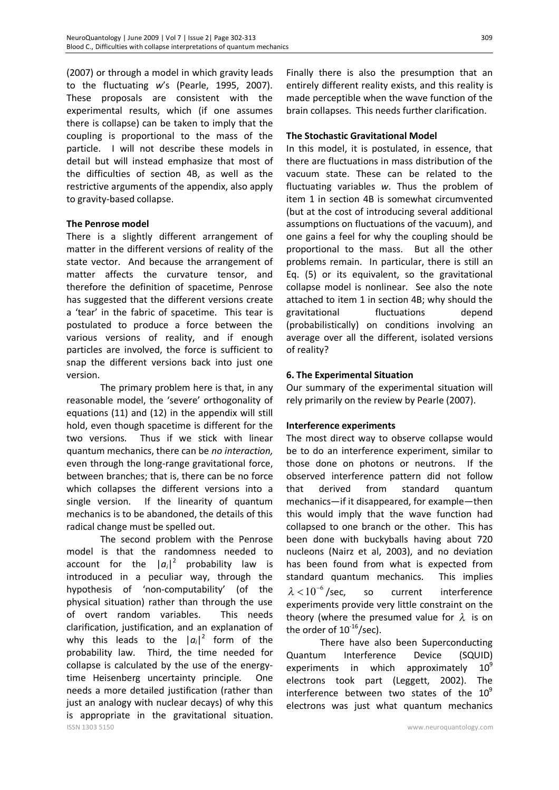(2007) or through a model in which gravity leads to the fluctuating *w*'s (Pearle, 1995, 2007). These proposals are consistent with the experimental results, which (if one assumes there is collapse) can be taken to imply that the coupling is proportional to the mass of the particle. I will not describe these models in detail but will instead emphasize that most of the difficulties of section 4B, as well as the restrictive arguments of the appendix, also apply to gravity-based collapse.

### **The Penrose model**

There is a slightly different arrangement of matter in the different versions of reality of the state vector. And because the arrangement of matter affects the curvature tensor, and therefore the definition of spacetime, Penrose has suggested that the different versions create a 'tear' in the fabric of spacetime. This tear is postulated to produce a force between the various versions of reality, and if enough particles are involved, the force is sufficient to snap the different versions back into just one version.

The primary problem here is that, in any reasonable model, the 'severe' orthogonality of equations (11) and (12) in the appendix will still hold, even though spacetime is different for the two versions. Thus if we stick with linear quantum mechanics, there can be *no interaction,* even through the long-range gravitational force, between branches; that is, there can be no force which collapses the different versions into a single version. If the linearity of quantum mechanics is to be abandoned, the details of this radical change must be spelled out.

ISSN 1303 5150 www.neuroquantology.com The second problem with the Penrose model is that the randomness needed to account for the  $|a_i|^2$  probability law is introduced in a peculiar way, through the hypothesis of 'non-computability' (of the physical situation) rather than through the use of overt random variables. This needs clarification, justification, and an explanation of why this leads to the  $|a_i|^2$  form of the probability law. Third, the time needed for collapse is calculated by the use of the energytime Heisenberg uncertainty principle. One needs a more detailed justification (rather than just an analogy with nuclear decays) of why this is appropriate in the gravitational situation.

Finally there is also the presumption that an entirely different reality exists, and this reality is made perceptible when the wave function of the brain collapses. This needs further clarification.

### **The Stochastic Gravitational Model**

In this model, it is postulated, in essence, that there are fluctuations in mass distribution of the vacuum state. These can be related to the fluctuating variables *w*. Thus the problem of item 1 in section 4B is somewhat circumvented (but at the cost of introducing several additional assumptions on fluctuations of the vacuum), and one gains a feel for why the coupling should be proportional to the mass. But all the other problems remain. In particular, there is still an Eq. (5) or its equivalent, so the gravitational collapse model is nonlinear.See also the note attached to item 1 in section 4B; why should the gravitational fluctuations depend (probabilistically) on conditions involving an average over all the different, isolated versions of reality?

# **6. The Experimental Situation**

Our summary of the experimental situation will rely primarily on the review by Pearle (2007).

### **Interference experiments**

The most direct way to observe collapse would be to do an interference experiment, similar to those done on photons or neutrons. If the observed interference pattern did not follow that derived from standard quantum mechanics—if it disappeared, for example—then this would imply that the wave function had collapsed to one branch or the other. This has been done with buckyballs having about 720 nucleons (Nairz et al, 2003), and no deviation has been found from what is expected from standard quantum mechanics. This implies  $\lambda < 10^{-6}$  /sec, so current interference experiments provide very little constraint on the theory (where the presumed value for  $\lambda$  is on the order of  $10^{-16}$ /sec).

There have also been Superconducting Quantum Interference Device (SQUID) experiments in which approximately  $10^9$ electrons took part (Leggett, 2002). The interference between two states of the  $10^9$ electrons was just what quantum mechanics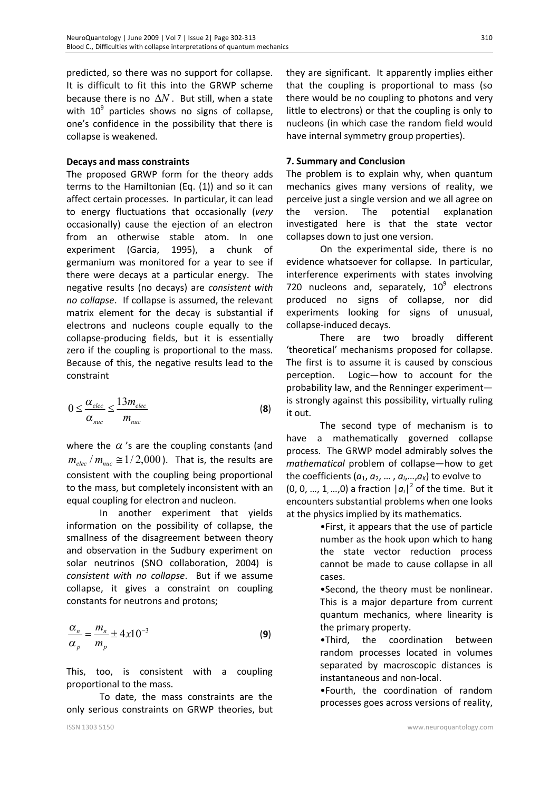predicted, so there was no support for collapse. It is difficult to fit this into the GRWP scheme because there is no  $\Delta N$ . But still, when a state with  $10^9$  particles shows no signs of collapse, one's confidence in the possibility that there is collapse is weakened.

#### **Decays and mass constraints**

The proposed GRWP form for the theory adds terms to the Hamiltonian (Eq. (1)) and so it can affect certain processes. In particular, it can lead to energy fluctuations that occasionally (*very* occasionally) cause the ejection of an electron from an otherwise stable atom. In one experiment (Garcia, 1995), a chunk of germanium was monitored for a year to see if there were decays at a particular energy. The negative results (no decays) are *consistent with no collapse*. If collapse is assumed, the relevant matrix element for the decay is substantial if electrons and nucleons couple equally to the collapse-producing fields, but it is essentially zero if the coupling is proportional to the mass. Because of this, the negative results lead to the constraint

$$
0 \le \frac{\alpha_{elec}}{\alpha_{nuc}} \le \frac{13m_{elec}}{m_{nuc}}
$$
 (8)

where the  $\alpha$ 's are the coupling constants (and  $m_{elec}$  /  $m_{nuc} \approx 1/2,000$  ). That is, the results are consistent with the coupling being proportional to the mass, but completely inconsistent with an equal coupling for electron and nucleon.

In another experiment that yields information on the possibility of collapse, the smallness of the disagreement between theory and observation in the Sudbury experiment on solar neutrinos (SNO collaboration, 2004) is *consistent with no collapse*. But if we assume collapse, it gives a constraint on coupling constants for neutrons and protons;

$$
\frac{\alpha_n}{\alpha_p} = \frac{m_n}{m_p} \pm 4x10^{-3}
$$
 (9)

This, too, is consistent with a coupling proportional to the mass.

To date, the mass constraints are the only serious constraints on GRWP theories, but

they are significant. It apparently implies either that the coupling is proportional to mass (so there would be no coupling to photons and very little to electrons) or that the coupling is only to nucleons (in which case the random field would have internal symmetry group properties).

# **7. Summary and Conclusion**

The problem is to explain why, when quantum mechanics gives many versions of reality, we perceive just a single version and we all agree on the version. The potential explanation investigated here is that the state vector collapses down to just one version.

On the experimental side, there is no evidence whatsoever for collapse. In particular, interference experiments with states involving 720 nucleons and, separately,  $10^9$  electrons produced no signs of collapse, nor did experiments looking for signs of unusual, collapse-induced decays.

There are two broadly different 'theoretical' mechanisms proposed for collapse. The first is to assume it is caused by conscious perception. Logic—how to account for the probability law, and the Renninger experiment is strongly against this possibility, virtually ruling it out.

The second type of mechanism is to have a mathematically governed collapse process. The GRWP model admirably solves the *mathematical* problem of collapse—how to get the coefficients ( $a_1, a_2, ..., a_i, ..., a_k$ ) to evolve to (0, 0, ..., 1, ...,0) a fraction  $|a_i|^2$  of the time. But it encounters substantial problems when one looks at the physics implied by its mathematics.

> •First, it appears that the use of particle number as the hook upon which to hang the state vector reduction process cannot be made to cause collapse in all cases.

> •Second, the theory must be nonlinear. This is a major departure from current quantum mechanics, where linearity is the primary property.

> •Third, the coordination between random processes located in volumes separated by macroscopic distances is instantaneous and non-local.

> •Fourth, the coordination of random processes goes across versions of reality,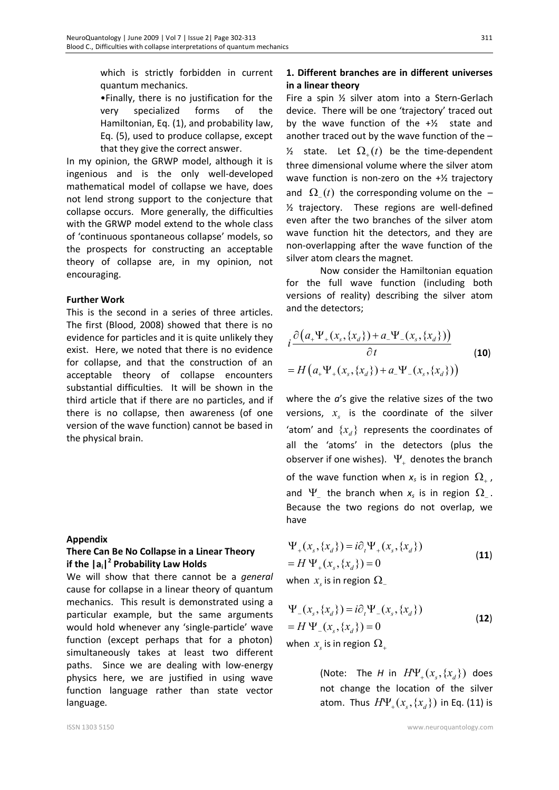which is strictly forbidden in current quantum mechanics.

•Finally, there is no justification for the very specialized forms of the Hamiltonian, Eq. (1), and probability law, Eq. (5), used to produce collapse, except that they give the correct answer.

In my opinion, the GRWP model, although it is ingenious and is the only well-developed mathematical model of collapse we have, does not lend strong support to the conjecture that collapse occurs. More generally, the difficulties with the GRWP model extend to the whole class of 'continuous spontaneous collapse' models, so the prospects for constructing an acceptable theory of collapse are, in my opinion, not encouraging.

#### **Further Work**

This is the second in a series of three articles. The first (Blood, 2008) showed that there is no evidence for particles and it is quite unlikely they exist. Here, we noted that there is no evidence for collapse, and that the construction of an acceptable theory of collapse encounters substantial difficulties. It will be shown in the third article that if there are no particles, and if there is no collapse, then awareness (of one version of the wave function) cannot be based in the physical brain.

#### **Appendix**

# **There Can Be No Collapse in a Linear Theory if the |ai| 2 Probability Law Holds**

We will show that there cannot be a *general* cause for collapse in a linear theory of quantum mechanics. This result is demonstrated using a particular example, but the same arguments would hold whenever any 'single-particle' wave function (except perhaps that for a photon) simultaneously takes at least two different paths. Since we are dealing with low-energy physics here, we are justified in using wave function language rather than state vector language.

# **1. Different branches are in different universes in a linear theory**

Fire a spin ½ silver atom into a Stern-Gerlach device. There will be one 'trajectory' traced out by the wave function of the  $+$ <sup>1</sup>/<sub>2</sub> state and another traced out by the wave function of the –  $\mathcal{V}_2$  state. Let  $\Omega_+(t)$  be the time-dependent three dimensional volume where the silver atom wave function is non-zero on the +½ trajectory and  $\Omega_{\perp}(t)$  the corresponding volume on the  $\frac{1}{2}$  trajectory. These regions are well-defined even after the two branches of the silver atom wave function hit the detectors, and they are non-overlapping after the wave function of the silver atom clears the magnet.

Now consider the Hamiltonian equation for the full wave function (including both versions of reality) describing the silver atom and the detectors;

$$
i \frac{\partial (a_+ \Psi_+(x_s, \{x_d\}) + a_- \Psi_-(x_s, \{x_d\}))}{\partial t}
$$
  
=  $H(a_+ \Psi_+(x_s, \{x_d\}) + a_- \Psi_-(x_s, \{x_d\}))$  (10)

where the *a*'s give the relative sizes of the two versions,  $x<sub>s</sub>$  is the coordinate of the silver 'atom' and  $\{x_d\}$  represents the coordinates of all the 'atoms' in the detectors (plus the observer if one wishes).  $\Psi_{\perp}$  denotes the branch of the wave function when  $x_s$  is in region  $\Omega_{+}$ , and  $\Psi_{-}$  the branch when  $x_s$  is in region  $\Omega_{-}$ . Because the two regions do not overlap, we have

$$
\Psi_{+}(x_{s}, \{x_{d}\}) = i\partial_{t} \Psi_{+}(x_{s}, \{x_{d}\})
$$
  
=  $H \Psi_{+}(x_{s}, \{x_{d}\}) = 0$  (11)

when  $x_{\scriptscriptstyle S}$  is in region  $\Omega_{\scriptscriptstyle \perp}$ 

$$
\Psi_{-}(x_{s}, \{x_{d}\}) = i\partial_{t} \Psi_{-}(x_{s}, \{x_{d}\})
$$
\n
$$
= H \Psi_{-}(x_{s}, \{x_{d}\}) = 0
$$
\n(12)

when  $x_{\scriptscriptstyle \rm s}$  is in region  $\Omega_{\scriptscriptstyle +}$ 

(Note: The *H* in  $H\Psi_+(x_{\scriptscriptstyle s}, \{x_{\scriptscriptstyle d}\})$  does not change the location of the silver atom. Thus  $H\Psi_+ (x_{\!s}, \{ x_{\!d}\})$  in Eq. (11) is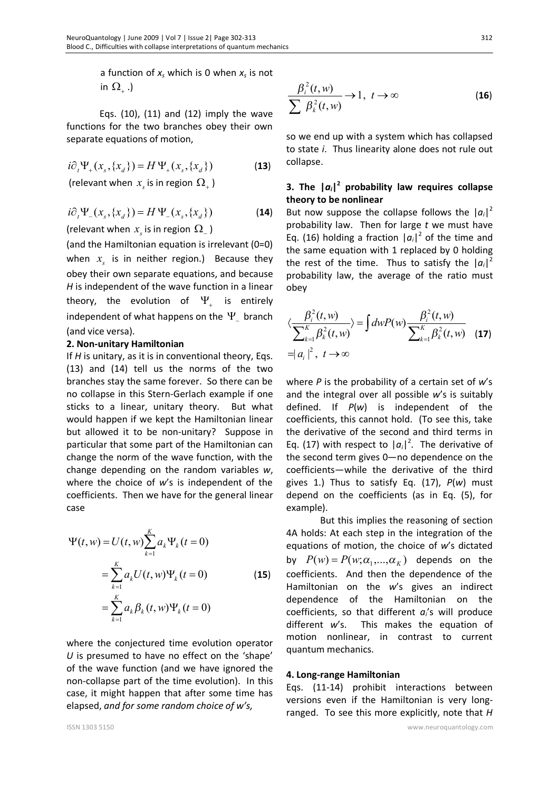a function of *x<sup>s</sup>* which is 0 when *x<sup>s</sup>* is not in  $\Omega_{\scriptscriptstyle +}$  .)

Eqs.  $(10)$ ,  $(11)$  and  $(12)$  imply the wave functions for the two branches obey their own separate equations of motion,

 $i\partial_t \Psi_+(x_s, \{x_d\}) = H \Psi_+(x_s, \{x_d\})$  (13)

(relevant when  $x_s$  is in region  $\Omega_+$  )

$$
i\partial_t \Psi_{-}(x_s, \{x_d\}) = H \Psi_{-}(x_s, \{x_d\})
$$
 (14)

(relevant when  $x_s$  is in region  $\Omega_{-}$  )

(and the Hamiltonian equation is irrelevant (0=0) when  $x<sub>s</sub>$  is in neither region.) Because they obey their own separate equations, and because *H* is independent of the wave function in a linear theory, the evolution of  $\Psi_{\scriptscriptstyle +}$  is entirely independent of what happens on the  $\Psi_{-}$  branch (and vice versa).

#### **2. Non-unitary Hamiltonian**

If *H* is unitary, as it is in conventional theory, Eqs. (13) and (14) tell us the norms of the two branches stay the same forever. So there can be no collapse in this Stern-Gerlach example if one sticks to a linear, unitary theory. But what would happen if we kept the Hamiltonian linear but allowed it to be non-unitary? Suppose in particular that some part of the Hamiltonian can change the norm of the wave function, with the change depending on the random variables *w*, where the choice of *w*'s is independent of the coefficients. Then we have for the general linear case

$$
\Psi(t, w) = U(t, w) \sum_{k=1}^{K} a_k \Psi_k(t = 0)
$$
  
= 
$$
\sum_{k=1}^{K} a_k U(t, w) \Psi_k(t = 0)
$$
 (15)  
= 
$$
\sum_{k=1}^{K} a_k \beta_k(t, w) \Psi_k(t = 0)
$$

where the conjectured time evolution operator *U* is presumed to have no effect on the 'shape' of the wave function (and we have ignored the non-collapse part of the time evolution). In this case, it might happen that after some time has elapsed, *and for some random choice of w's,* 

$$
\frac{\beta_i^2(t, w)}{\sum \beta_k^2(t, w)} \to 1, \ t \to \infty
$$
 (16)

so we end up with a system which has collapsed to state *i*. Thus linearity alone does not rule out collapse.

# **3. The |***ai***| 2 probability law requires collapse theory to be nonlinear**

But now suppose the collapse follows the  $|a_i|^2$ probability law. Then for large *t* we must have Eq. (16) holding a fraction  $|a_i|^2$  of the time and the same equation with 1 replaced by 0 holding the rest of the time. Thus to satisfy the  $|a_i|^2$ probability law, the average of the ratio must obey

$$
\langle \frac{\beta_i^2(t, w)}{\sum_{k=1}^K \beta_k^2(t, w)} \rangle = \int dw P(w) \frac{\beta_i^2(t, w)}{\sum_{k=1}^K \beta_k^2(t, w)}
$$
(17)  
=  $|a_i|^2$ ,  $t \to \infty$ 

where *P* is the probability of a certain set of *w*'s and the integral over all possible *w*'s is suitably defined. If *P*(*w*) is independent of the coefficients, this cannot hold. (To see this, take the derivative of the second and third terms in Eq. (17) with respect to  $|a_i|^2$ . The derivative of the second term gives 0—no dependence on the coefficients—while the derivative of the third gives 1.) Thus to satisfy Eq. (17), *P*(*w*) must depend on the coefficients (as in Eq. (5), for example).

But this implies the reasoning of section 4A holds: At each step in the integration of the equations of motion, the choice of *w*'s dictated by  $P(w) = P(w; \alpha_1, ..., \alpha_K)$  depends on the coefficients. And then the dependence of the Hamiltonian on the *w*'s gives an indirect dependence of the Hamiltonian on the coefficients, so that different  $a_i$ 's will produce different *w*'s. This makes the equation of motion nonlinear, in contrast to current quantum mechanics.

#### **4. Long-range Hamiltonian**

Eqs. (11-14) prohibit interactions between versions even if the Hamiltonian is very longranged. To see this more explicitly, note that *H*